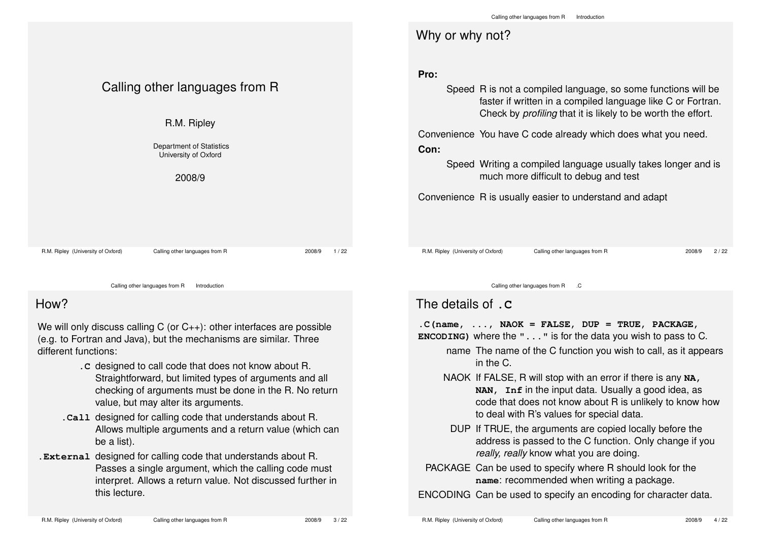|                                                                                                                                                   |                                |                | Calling other languages from R<br>Introduction                                                                                                                                                              |  |  |  |  |
|---------------------------------------------------------------------------------------------------------------------------------------------------|--------------------------------|----------------|-------------------------------------------------------------------------------------------------------------------------------------------------------------------------------------------------------------|--|--|--|--|
|                                                                                                                                                   |                                |                | Why or why not?                                                                                                                                                                                             |  |  |  |  |
| Calling other languages from R<br>R.M. Ripley                                                                                                     |                                |                | Pro:<br>Speed R is not a compiled language, so some functions will be<br>faster if written in a compiled language like C or Fortran.<br>Check by <i>profiling</i> that it is likely to be worth the effort. |  |  |  |  |
| <b>Department of Statistics</b><br>University of Oxford<br>2008/9                                                                                 |                                |                | Convenience You have C code already which does what you need.<br>Con:<br>Speed Writing a compiled language usually takes longer and is<br>much more difficult to debug and test                             |  |  |  |  |
|                                                                                                                                                   |                                |                | Convenience R is usually easier to understand and adapt                                                                                                                                                     |  |  |  |  |
| R.M. Ripley (University of Oxford)                                                                                                                | Calling other languages from R | 1/22<br>2008/9 | R.M. Ripley (University of Oxford)<br>Calling other languages from R<br>2/22<br>2008/9                                                                                                                      |  |  |  |  |
| Calling other languages from R<br>Introduction                                                                                                    |                                |                | Calling other languages from R .C                                                                                                                                                                           |  |  |  |  |
| How?                                                                                                                                              |                                |                | The details of . C                                                                                                                                                                                          |  |  |  |  |
| We will only discuss calling C (or $C_{++}$ ): other interfaces are possible<br>(e.g. to Fortran and Java), but the mechanisms are similar. Three |                                |                | $.C$ (name, , NAOK = FALSE, DUP = TRUE, PACKAGE,<br><b>ENCODING)</b> where the $" \dots"$ is for the data you wish to pass to C.                                                                            |  |  |  |  |

- name The name of the C function you wish to call, as it appears in the C.
- NAOK If FALSE, R will stop with an error if there is any **NA, NAN, Inf** in the input data. Usually a good idea, as code that does not know about R is unlikely to know how to deal with R's values for special data.
- DUP If TRUE, the arguments are copied locally before the address is passed to the C function. Only change if you *really, really* know what you are doing.
- PACKAGE Can be used to specify where R should look for the **name**: recommended when writing a package.

ENCODING Can be used to specify an encoding for character data.

be a list).

this lecture.

**.C** designed to call code that does not know about R.

**.Call** designed for calling code that understands about R.

**.External** designed for calling code that understands about R.

value, but may alter its arguments.

Straightforward, but limited types of arguments and all checking of arguments must be done in the R. No return

Allows multiple arguments and a return value (which can

Passes a single argument, which the calling code must interpret. Allows a return value. Not discussed further in

different functions: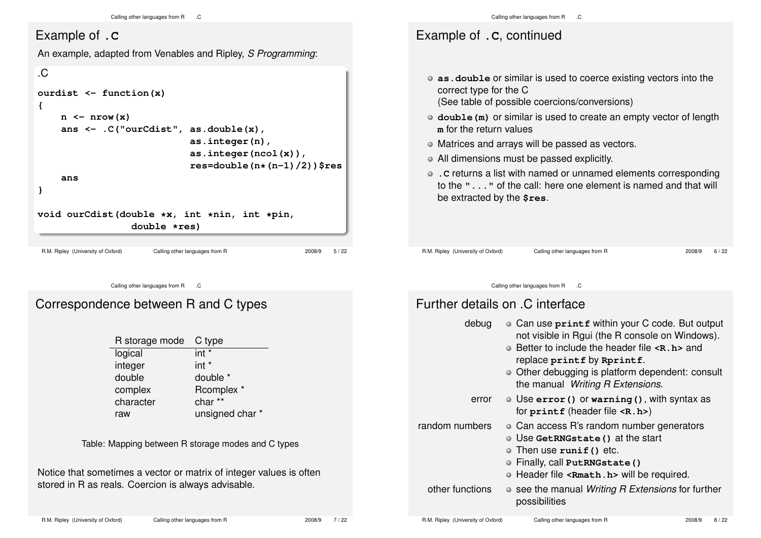### Example of **.C**

An example, adapted from Venables and Ripley, *S Programming*:



# Correspondence between R and C types

Calling other languages from R .C

| R storage mode | C type          |
|----------------|-----------------|
| logical        | int *           |
| integer        | $int *$         |
| double         | double *        |
| complex        | Rcomplex *      |
| character      | char**          |
| raw            | unsigned char * |

Table: Mapping between R storage modes and C types

Notice that sometimes a vector or matrix of integer values is often stored in R as reals. Coercion is always advisable.

## Example of **.C**, continued

- **as.double** or similar is used to coerce existing vectors into the correct type for the C
	- (See table of possible coercions/conversions)
- **double(m)** or similar is used to create an empty vector of length **m** for the return values
- Matrices and arrays will be passed as vectors.
- All dimensions must be passed explicitly.
- **.C** returns a list with named or unnamed elements corresponding to the **"..."** of the call: here one element is named and that will be extracted by the **\$res**.

R.M. Ripley (University of Oxford) Calling other languages from R 2008/9 6 / 22

Calling other languages from R .C

### Further details on .C interface

| debug           | • Can use printf within your C code. But output<br>not visible in Rgui (the R console on Windows).<br>$\bullet$ Better to include the header file $\leq$ <b>R</b> . <b>h</b> $\geq$ and<br>replace printf by Rprintf.<br>• Other debugging is platform dependent: consult<br>the manual Writing R Extensions. |
|-----------------|---------------------------------------------------------------------------------------------------------------------------------------------------------------------------------------------------------------------------------------------------------------------------------------------------------------|
| error           | $\bullet$ Use error () or warning (), with syntax as<br>for $print$ f (header file $\langle R.h \rangle$ )                                                                                                                                                                                                    |
| random numbers  | • Can access R's random number generators<br>O Use GetRNGstate () at the start<br>$\circ$ Then use runif() etc.<br>O Finally, call PutRNGstate ()<br>• Header file <rmath.h> will be required.</rmath.h>                                                                                                      |
| other functions | • see the manual Writing R Extensions for further<br>possibilities                                                                                                                                                                                                                                            |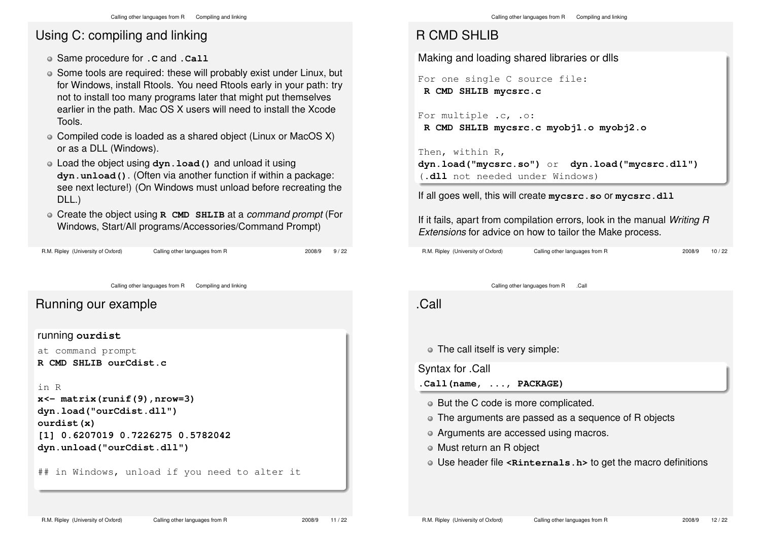# Using C: compiling and linking

- Same procedure for **.C** and **.Call**
- Some tools are required: these will probably exist under Linux, but for Windows, install Rtools. You need Rtools early in your path: try not to install too many programs later that might put themselves earlier in the path. Mac OS X users will need to install the Xcode Tools.
- Compiled code is loaded as a shared object (Linux or MacOS X) or as a DLL (Windows).
- Load the object using **dyn.load()** and unload it using **dyn.unload()**. (Often via another function if within a package: see next lecture!) (On Windows must unload before recreating the DLL.)
- Create the object using **R CMD SHLIB** at a *command prompt* (For Windows, Start/All programs/Accessories/Command Prompt)

R.M. Ripley (University of Oxford) Calling other languages from R 2008/9 9 / 22

```
Calling other languages from R Compiling and linking
Running our example
running ourdist
at command prompt
R CMD SHLIB ourCdist.c
in R
x<- matrix(runif(9),nrow=3)
dyn.load("ourCdist.dll")
ourdist(x)
[1] 0.6207019 0.7226275 0.5782042
dyn.unload("ourCdist.dll")
## in Windows, unload if you need to alter it
```
### R CMD SHLIB

Making and loading shared libraries or dlls

For one single C source file: **R CMD SHLIB mycsrc.c**

```
For multiple .c, .o:
R CMD SHLIB mycsrc.c myobj1.o myobj2.o
```
Then, within R, **dyn.load("mycsrc.so")** or **dyn.load("mycsrc.dll")** (**.dll** not needed under Windows)

If all goes well, this will create **mycsrc.so** or **mycsrc.dll**

If it fails, apart from compilation errors, look in the manual *Writing R Extensions* for advice on how to tailor the Make process.

R.M. Ripley (University of Oxford) Calling other languages from R 2008/9 10 / 22

Calling other languages from R .Call

.Call

The call itself is very simple:

Syntax for .Call

**.Call(name, ..., PACKAGE)**

- But the C code is more complicated.
- The arguments are passed as a sequence of R objects
- Arguments are accessed using macros.
- Must return an R object
- Use header file **<Rinternals.h>** to get the macro definitions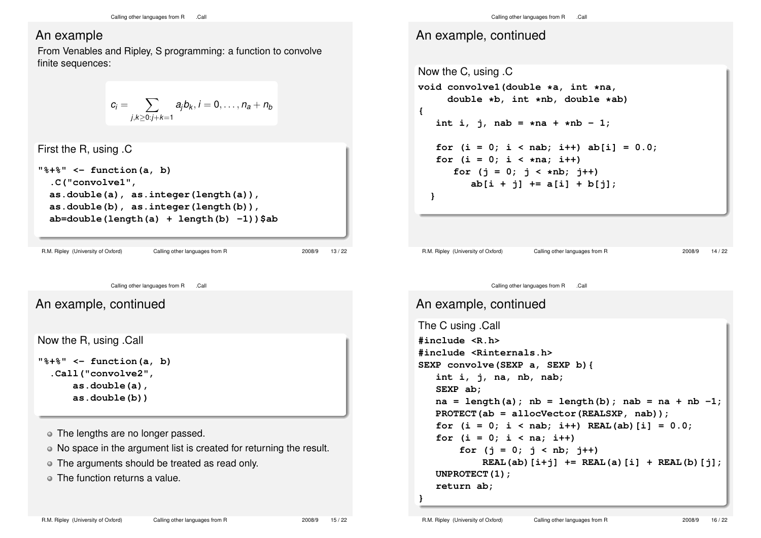#### An example

From Venables and Ripley, S programming: a function to convolve finite sequences:

$$
c_i = \sum_{j,k\geq 0: j+k=1} a_j b_k, i=0,\ldots,n_a+n_b
$$

```
First the R, using .C
"%+%" <- function(a, b)
  .C("convolve1",
  as.double(a), as.integer(length(a)),
  as.double(b), as.integer(length(b)),
  ab=double(length(a) + length(b) -1))$ab
```
R.M. Ripley (University of Oxford) Calling other languages from R 2008/9 13 / 22

Calling other languages from R .Call

An example, continued

```
Now the R, using .Call
```
**"%+%" <- function(a, b) .Call("convolve2", as.double(a), as.double(b))**

The lengths are no longer passed.

- No space in the argument list is created for returning the result.
- The arguments should be treated as read only.

The function returns a value.

Calling other languages from R .Call

### An example, continued

```
Now the C, using .C
void convolve1(double *a, int *na,
     double *b, int *nb, double *ab)
{
   int i, j, nab = *na + *nb - 1;for (i = 0; i < nab; i++) ab[i] = 0.0;for (i = 0; i < *na; i++)
      for (j = 0; j < *nb; j++)
          ab[i + j] += a[i] + b[j];
  }
 R.M. Ripley (University of Oxford) Calling other languages from R 2008/9 14 / 22
              Calling other languages from R .Call
An example, continued
The C using .Call
#include <R.h>
#include <Rinternals.h>
SEXP convolve(SEXP a, SEXP b){
   int i, j, na, nb, nab;
   SEXP ab;
```

```
na = length(a); nb = length(b); nab = na + nb -1;
PROTECT(ab = allocVector(REALSXP, nab));
for (i = 0; i < nab; i++) REAL(ab) [i] = 0.0;for (i = 0; i < na; i++)
    for (i = 0; j < nb; j++)REAL(ab)[i+j] += REAL(a)[i] + REAL(b)[j];
UNPROTECT(1);
```
**return ab;**

**}**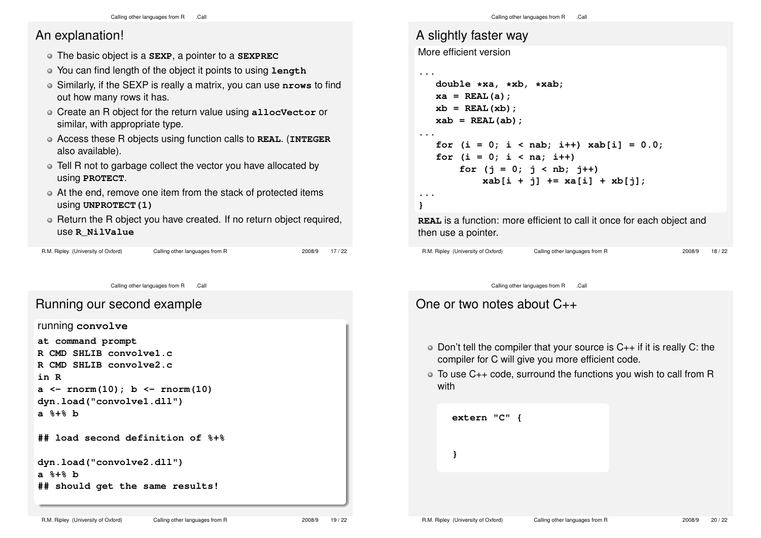#### An explanation!

- The basic object is a **SEXP**, a pointer to a **SEXPREC**
- You can find length of the object it points to using **length**
- Similarly, if the SEXP is really a matrix, you can use **nrows** to find out how many rows it has.
- Create an R object for the return value using **allocVector** or similar, with appropriate type.
- Access these R objects using function calls to **REAL**. (**INTEGER** also available).
- Tell R not to garbage collect the vector you have allocated by using **PROTECT**.
- At the end, remove one item from the stack of protected items using **UNPROTECT(1)**
- Return the R object you have created. If no return object required, use **R\_NilValue**

| R.M. Ripley (University of Oxford) | Calling |
|------------------------------------|---------|

```
g other languages from R 2008/9 17 / 22
```
Calling other languages from R .Call

#### Running our second example

running **convolve at command prompt R CMD SHLIB convolve1.c R CMD SHLIB convolve2.c in R a <- rnorm(10); b <- rnorm(10) dyn.load("convolve1.dll") a %+% b ## load second definition of %+% dyn.load("convolve2.dll") a %+% b**

**## should get the same results!**

```
A slightly faster way
```
More efficient version

**...**

```
double *xa, *xb, *xab;
  xa = REAL(a);
  xb = REAL(xb):
  xab = REAL(ab);
...
   for (i = 0; i < nab; i++) xab[i] = 0.0;for (i = 0; i < na; i++)
       for (i = 0; j < nb; j++)xab[i + j] += xa[i] + xb[j];
...
}
```
**REAL** is a function: more efficient to call it once for each object and then use a pointer.

```
R.M. Ripley (University of Oxford) Calling other languages from R 2008/9 18 / 22
```
Calling other languages from R .Call

## One or two notes about C++

- $\circ$  Don't tell the compiler that your source is C<sub>++</sub> if it is really C: the compiler for C will give you more efficient code.
- To use C++ code, surround the functions you wish to call from R with

```
extern "C" {
}
```